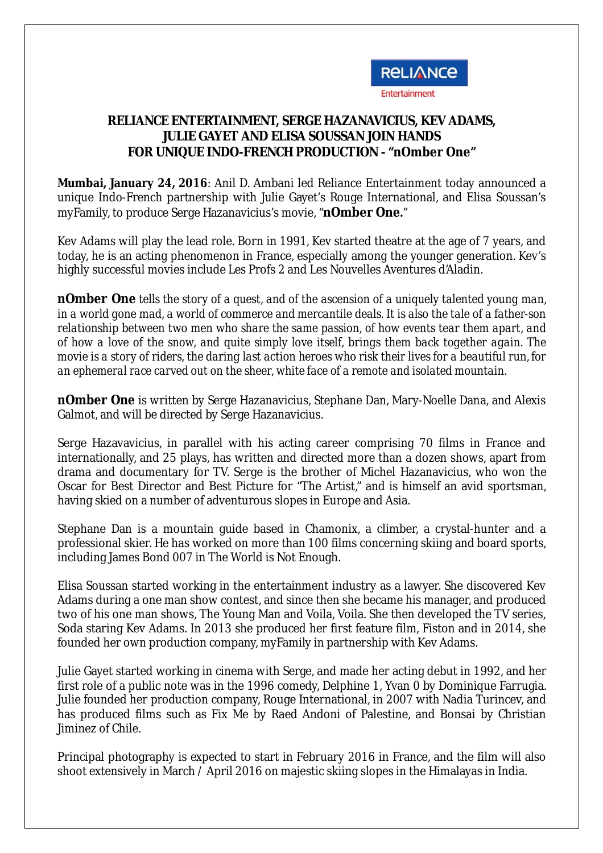

## **RELIANCE ENTERTAINMENT, SERGE HAZANAVICIUS, KEV ADAMS, JULIE GAYET AND ELISA SOUSSAN JOIN HANDS FOR UNIQUE INDO-FRENCH PRODUCTION - "nOmber One"**

**Mumbai, January 24, 2016**: Anil D. Ambani led Reliance Entertainment today announced a unique Indo-French partnership with Julie Gayet's Rouge International, and Elisa Soussan's myFamily, to produce Serge Hazanavicius's movie, "**nOmber One.**"

Kev Adams will play the lead role. Born in 1991, Kev started theatre at the age of 7 years, and today, he is an acting phenomenon in France, especially among the younger generation. Kev's highly successful movies include Les Profs 2 and Les Nouvelles Aventures d'Aladin.

**nOmber One** *tells the story of a quest, and of the ascension of a uniquely talented young man, in a world gone mad, a world of commerce and mercantile deals. It is also the tale of a father-son relationship between two men who share the same passion, of how events tear them apart, and of how a love of the snow, and quite simply love itself, brings them back together again. The movie is a story of riders, the daring last action heroes who risk their lives for a beautiful run, for an ephemeral race carved out on the sheer, white face of a remote and isolated mountain.*

**nOmber One** is written by Serge Hazanavicius, Stephane Dan, Mary-Noelle Dana, and Alexis Galmot, and will be directed by Serge Hazanavicius.

Serge Hazavavicius, in parallel with his acting career comprising 70 films in France and internationally, and 25 plays, has written and directed more than a dozen shows, apart from drama and documentary for TV. Serge is the brother of Michel Hazanavicius, who won the Oscar for Best Director and Best Picture for "The Artist," and is himself an avid sportsman, having skied on a number of adventurous slopes in Europe and Asia.

Stephane Dan is a mountain guide based in Chamonix, a climber, a crystal-hunter and a professional skier. He has worked on more than 100 films concerning skiing and board sports, including James Bond 007 in The World is Not Enough.

Elisa Soussan started working in the entertainment industry as a lawyer. She discovered Kev Adams during a one man show contest, and since then she became his manager, and produced two of his one man shows, The Young Man and Voila, Voila. She then developed the TV series, Soda staring Kev Adams. In 2013 she produced her first feature film, Fiston and in 2014, she founded her own production company, myFamily in partnership with Kev Adams.

Julie Gayet started working in cinema with Serge, and made her acting debut in 1992, and her first role of a public note was in the 1996 comedy, Delphine 1, Yvan 0 by Dominique Farrugia. Julie founded her production company, Rouge International, in 2007 with Nadia Turincev, and has produced films such as Fix Me by Raed Andoni of Palestine, and Bonsai by Christian Jiminez of Chile.

Principal photography is expected to start in February 2016 in France, and the film will also shoot extensively in March / April 2016 on majestic skiing slopes in the Himalayas in India.